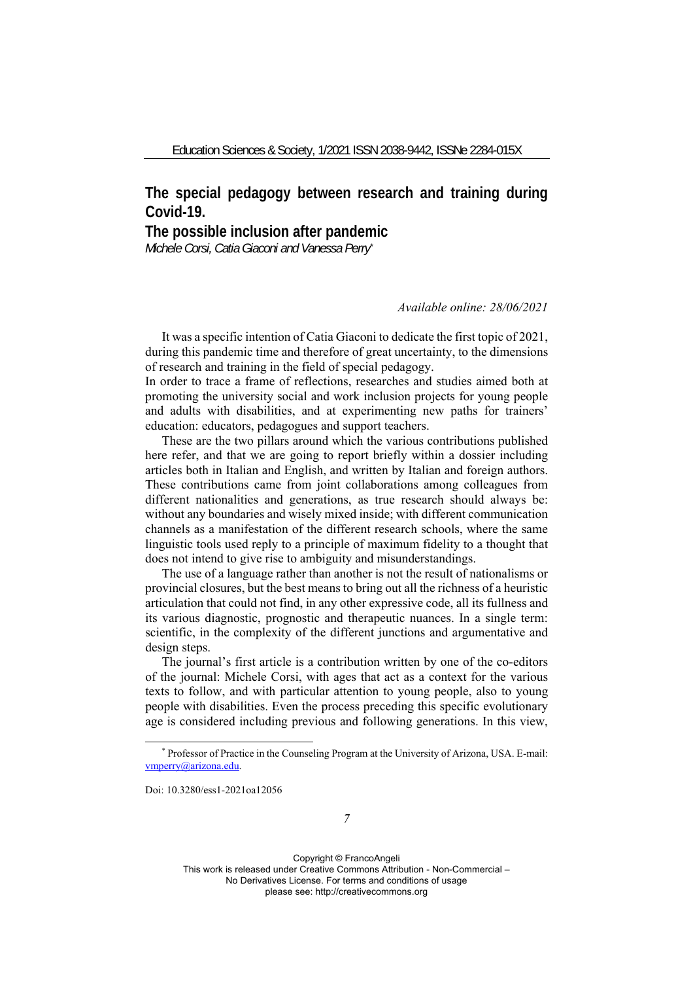## **The special pedagogy between research and training during Covid-19.**

## **The possible inclusion after pandemic**

*Michele Corsi, Catia Giaconi and Vanessa Perry\**

## *Available online: 28/06/2021*

It was a specific intention of Catia Giaconi to dedicate the first topic of 2021, during this pandemic time and therefore of great uncertainty, to the dimensions of research and training in the field of special pedagogy.

In order to trace a frame of reflections, researches and studies aimed both at promoting the university social and work inclusion projects for young people and adults with disabilities, and at experimenting new paths for trainers' education: educators, pedagogues and support teachers.

These are the two pillars around which the various contributions published here refer, and that we are going to report briefly within a dossier including articles both in Italian and English, and written by Italian and foreign authors. These contributions came from joint collaborations among colleagues from different nationalities and generations, as true research should always be: without any boundaries and wisely mixed inside; with different communication channels as a manifestation of the different research schools, where the same linguistic tools used reply to a principle of maximum fidelity to a thought that does not intend to give rise to ambiguity and misunderstandings.

The use of a language rather than another is not the result of nationalisms or provincial closures, but the best means to bring out all the richness of a heuristic articulation that could not find, in any other expressive code, all its fullness and its various diagnostic, prognostic and therapeutic nuances. In a single term: scientific, in the complexity of the different junctions and argumentative and design steps.

The journal's first article is a contribution written by one of the co-editors of the journal: Michele Corsi, with ages that act as a context for the various texts to follow, and with particular attention to young people, also to young people with disabilities. Even the process preceding this specific evolutionary age is considered including previous and following generations. In this view,

Doi: 10.3280/ess1-2021oa12056

<sup>\*</sup> Professor of Practice in the Counseling Program at the University of Arizona, USA. E-mail: vmperry@arizona.edu.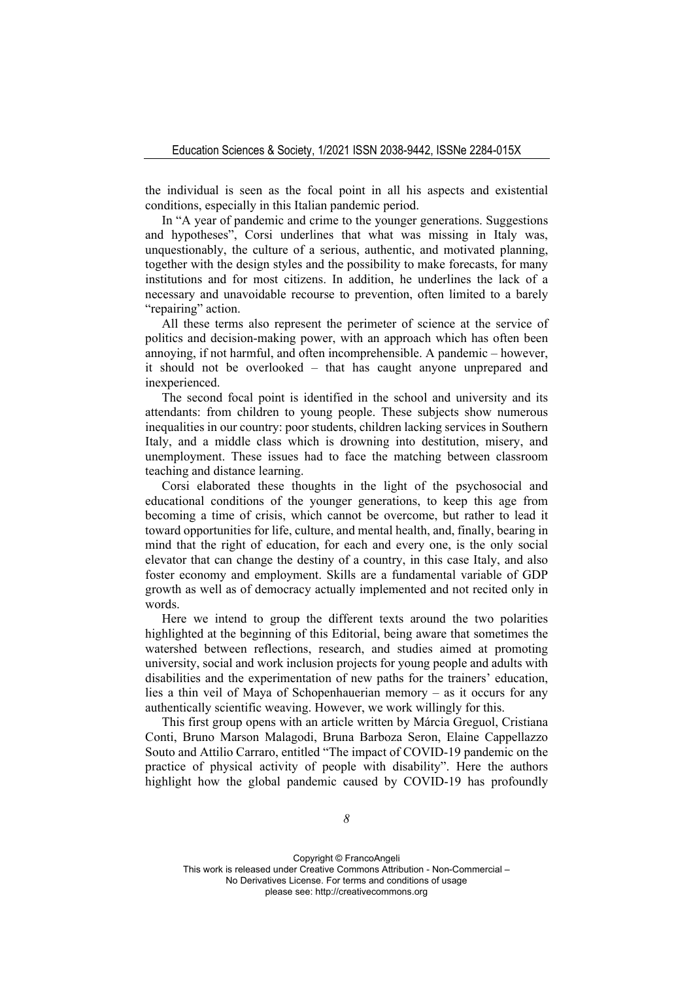the individual is seen as the focal point in all his aspects and existential conditions, especially in this Italian pandemic period.

In "A year of pandemic and crime to the younger generations. Suggestions and hypotheses", Corsi underlines that what was missing in Italy was, unquestionably, the culture of a serious, authentic, and motivated planning, together with the design styles and the possibility to make forecasts, for many institutions and for most citizens. In addition, he underlines the lack of a necessary and unavoidable recourse to prevention, often limited to a barely "repairing" action.

All these terms also represent the perimeter of science at the service of politics and decision-making power, with an approach which has often been annoying, if not harmful, and often incomprehensible. A pandemic – however, it should not be overlooked – that has caught anyone unprepared and inexperienced.

The second focal point is identified in the school and university and its attendants: from children to young people. These subjects show numerous inequalities in our country: poor students, children lacking services in Southern Italy, and a middle class which is drowning into destitution, misery, and unemployment. These issues had to face the matching between classroom teaching and distance learning.

Corsi elaborated these thoughts in the light of the psychosocial and educational conditions of the younger generations, to keep this age from becoming a time of crisis, which cannot be overcome, but rather to lead it toward opportunities for life, culture, and mental health, and, finally, bearing in mind that the right of education, for each and every one, is the only social elevator that can change the destiny of a country, in this case Italy, and also foster economy and employment. Skills are a fundamental variable of GDP growth as well as of democracy actually implemented and not recited only in words.

Here we intend to group the different texts around the two polarities highlighted at the beginning of this Editorial, being aware that sometimes the watershed between reflections, research, and studies aimed at promoting university, social and work inclusion projects for young people and adults with disabilities and the experimentation of new paths for the trainers' education, lies a thin veil of Maya of Schopenhauerian memory – as it occurs for any authentically scientific weaving. However, we work willingly for this.

This first group opens with an article written by Márcia Greguol, Cristiana Conti, Bruno Marson Malagodi, Bruna Barboza Seron, Elaine Cappellazzo Souto and Attilio Carraro, entitled "The impact of COVID-19 pandemic on the practice of physical activity of people with disability". Here the authors highlight how the global pandemic caused by COVID-19 has profoundly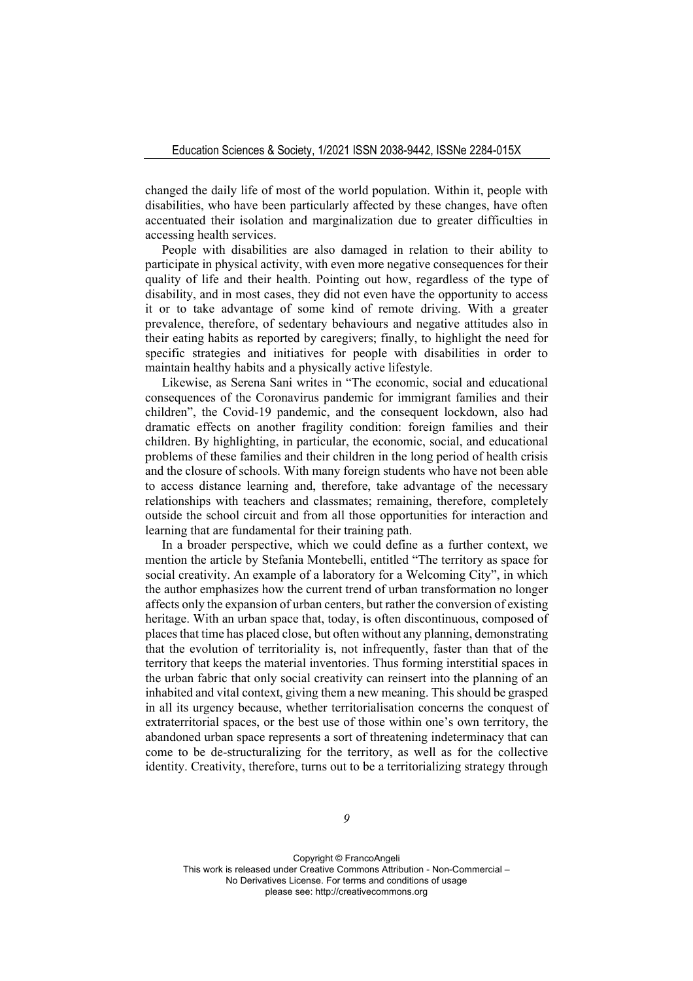changed the daily life of most of the world population. Within it, people with disabilities, who have been particularly affected by these changes, have often accentuated their isolation and marginalization due to greater difficulties in accessing health services.

People with disabilities are also damaged in relation to their ability to participate in physical activity, with even more negative consequences for their quality of life and their health. Pointing out how, regardless of the type of disability, and in most cases, they did not even have the opportunity to access it or to take advantage of some kind of remote driving. With a greater prevalence, therefore, of sedentary behaviours and negative attitudes also in their eating habits as reported by caregivers; finally, to highlight the need for specific strategies and initiatives for people with disabilities in order to maintain healthy habits and a physically active lifestyle.

Likewise, as Serena Sani writes in "The economic, social and educational consequences of the Coronavirus pandemic for immigrant families and their children", the Covid-19 pandemic, and the consequent lockdown, also had dramatic effects on another fragility condition: foreign families and their children. By highlighting, in particular, the economic, social, and educational problems of these families and their children in the long period of health crisis and the closure of schools. With many foreign students who have not been able to access distance learning and, therefore, take advantage of the necessary relationships with teachers and classmates; remaining, therefore, completely outside the school circuit and from all those opportunities for interaction and learning that are fundamental for their training path.

In a broader perspective, which we could define as a further context, we mention the article by Stefania Montebelli, entitled "The territory as space for social creativity. An example of a laboratory for a Welcoming City", in which the author emphasizes how the current trend of urban transformation no longer affects only the expansion of urban centers, but rather the conversion of existing heritage. With an urban space that, today, is often discontinuous, composed of places that time has placed close, but often without any planning, demonstrating that the evolution of territoriality is, not infrequently, faster than that of the territory that keeps the material inventories. Thus forming interstitial spaces in the urban fabric that only social creativity can reinsert into the planning of an inhabited and vital context, giving them a new meaning. This should be grasped in all its urgency because, whether territorialisation concerns the conquest of extraterritorial spaces, or the best use of those within one's own territory, the abandoned urban space represents a sort of threatening indeterminacy that can come to be de-structuralizing for the territory, as well as for the collective identity. Creativity, therefore, turns out to be a territorializing strategy through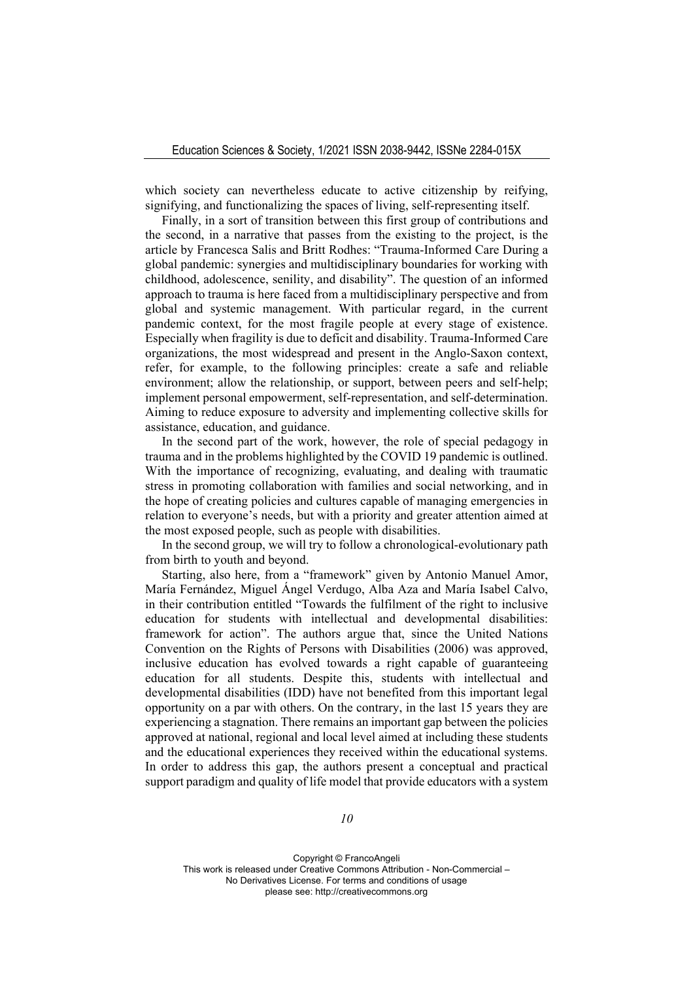which society can nevertheless educate to active citizenship by reifying, signifying, and functionalizing the spaces of living, self-representing itself.

Finally, in a sort of transition between this first group of contributions and the second, in a narrative that passes from the existing to the project, is the article by Francesca Salis and Britt Rodhes: "Trauma-Informed Care During a global pandemic: synergies and multidisciplinary boundaries for working with childhood, adolescence, senility, and disability". The question of an informed approach to trauma is here faced from a multidisciplinary perspective and from global and systemic management. With particular regard, in the current pandemic context, for the most fragile people at every stage of existence. Especially when fragility is due to deficit and disability. Trauma-Informed Care organizations, the most widespread and present in the Anglo-Saxon context, refer, for example, to the following principles: create a safe and reliable environment; allow the relationship, or support, between peers and self-help; implement personal empowerment, self-representation, and self-determination. Aiming to reduce exposure to adversity and implementing collective skills for assistance, education, and guidance.

In the second part of the work, however, the role of special pedagogy in trauma and in the problems highlighted by the COVID 19 pandemic is outlined. With the importance of recognizing, evaluating, and dealing with traumatic stress in promoting collaboration with families and social networking, and in the hope of creating policies and cultures capable of managing emergencies in relation to everyone's needs, but with a priority and greater attention aimed at the most exposed people, such as people with disabilities.

In the second group, we will try to follow a chronological-evolutionary path from birth to youth and beyond.

Starting, also here, from a "framework" given by Antonio Manuel Amor, María Fernández, Miguel Ángel Verdugo, Alba Aza and María Isabel Calvo, in their contribution entitled "Towards the fulfilment of the right to inclusive education for students with intellectual and developmental disabilities: framework for action". The authors argue that, since the United Nations Convention on the Rights of Persons with Disabilities (2006) was approved, inclusive education has evolved towards a right capable of guaranteeing education for all students. Despite this, students with intellectual and developmental disabilities (IDD) have not benefited from this important legal opportunity on a par with others. On the contrary, in the last 15 years they are experiencing a stagnation. There remains an important gap between the policies approved at national, regional and local level aimed at including these students and the educational experiences they received within the educational systems. In order to address this gap, the authors present a conceptual and practical support paradigm and quality of life model that provide educators with a system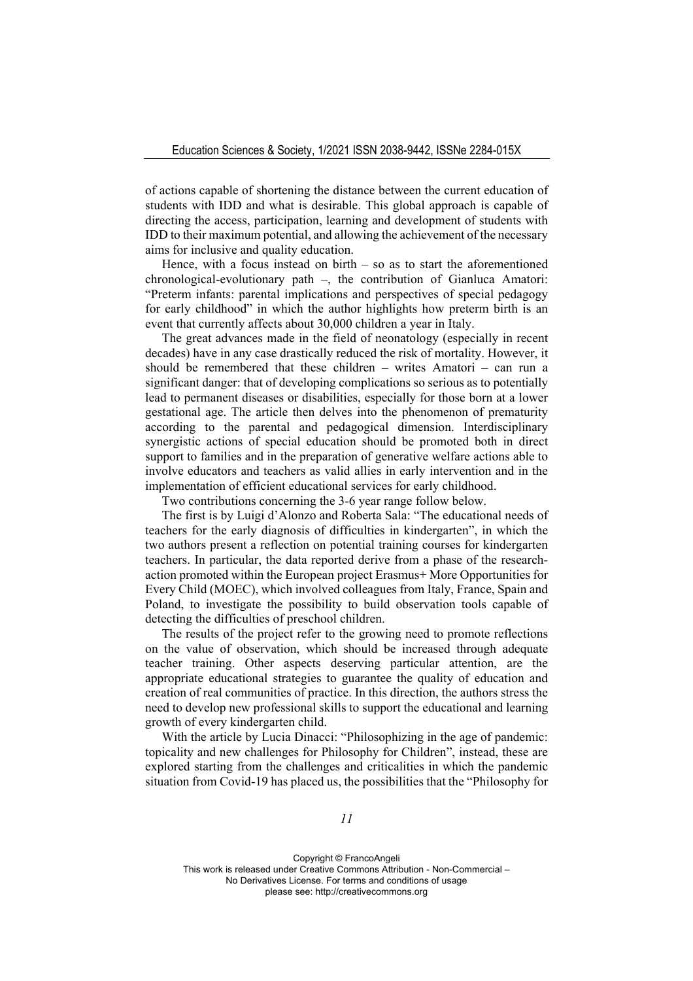of actions capable of shortening the distance between the current education of students with IDD and what is desirable. This global approach is capable of directing the access, participation, learning and development of students with IDD to their maximum potential, and allowing the achievement of the necessary aims for inclusive and quality education.

Hence, with a focus instead on birth  $-$  so as to start the aforementioned chronological-evolutionary path –, the contribution of Gianluca Amatori: "Preterm infants: parental implications and perspectives of special pedagogy for early childhood" in which the author highlights how preterm birth is an event that currently affects about 30,000 children a year in Italy.

The great advances made in the field of neonatology (especially in recent decades) have in any case drastically reduced the risk of mortality. However, it should be remembered that these children – writes Amatori – can run a significant danger: that of developing complications so serious as to potentially lead to permanent diseases or disabilities, especially for those born at a lower gestational age. The article then delves into the phenomenon of prematurity according to the parental and pedagogical dimension. Interdisciplinary synergistic actions of special education should be promoted both in direct support to families and in the preparation of generative welfare actions able to involve educators and teachers as valid allies in early intervention and in the implementation of efficient educational services for early childhood.

Two contributions concerning the 3-6 year range follow below.

The first is by Luigi d'Alonzo and Roberta Sala: "The educational needs of teachers for the early diagnosis of difficulties in kindergarten", in which the two authors present a reflection on potential training courses for kindergarten teachers. In particular, the data reported derive from a phase of the researchaction promoted within the European project Erasmus+ More Opportunities for Every Child (MOEC), which involved colleagues from Italy, France, Spain and Poland, to investigate the possibility to build observation tools capable of detecting the difficulties of preschool children.

The results of the project refer to the growing need to promote reflections on the value of observation, which should be increased through adequate teacher training. Other aspects deserving particular attention, are the appropriate educational strategies to guarantee the quality of education and creation of real communities of practice. In this direction, the authors stress the need to develop new professional skills to support the educational and learning growth of every kindergarten child.

With the article by Lucia Dinacci: "Philosophizing in the age of pandemic: topicality and new challenges for Philosophy for Children", instead, these are explored starting from the challenges and criticalities in which the pandemic situation from Covid-19 has placed us, the possibilities that the "Philosophy for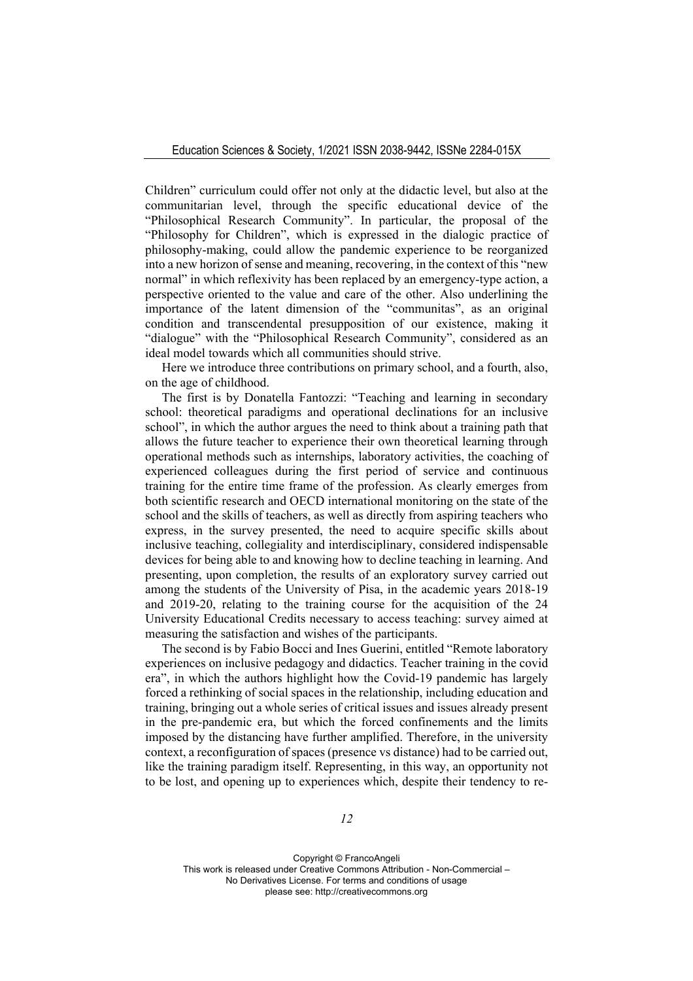Children" curriculum could offer not only at the didactic level, but also at the communitarian level, through the specific educational device of the "Philosophical Research Community". In particular, the proposal of the "Philosophy for Children", which is expressed in the dialogic practice of philosophy-making, could allow the pandemic experience to be reorganized into a new horizon of sense and meaning, recovering, in the context of this "new normal" in which reflexivity has been replaced by an emergency-type action, a perspective oriented to the value and care of the other. Also underlining the importance of the latent dimension of the "communitas", as an original condition and transcendental presupposition of our existence, making it "dialogue" with the "Philosophical Research Community", considered as an ideal model towards which all communities should strive.

Here we introduce three contributions on primary school, and a fourth, also, on the age of childhood.

The first is by Donatella Fantozzi: "Teaching and learning in secondary school: theoretical paradigms and operational declinations for an inclusive school", in which the author argues the need to think about a training path that allows the future teacher to experience their own theoretical learning through operational methods such as internships, laboratory activities, the coaching of experienced colleagues during the first period of service and continuous training for the entire time frame of the profession. As clearly emerges from both scientific research and OECD international monitoring on the state of the school and the skills of teachers, as well as directly from aspiring teachers who express, in the survey presented, the need to acquire specific skills about inclusive teaching, collegiality and interdisciplinary, considered indispensable devices for being able to and knowing how to decline teaching in learning. And presenting, upon completion, the results of an exploratory survey carried out among the students of the University of Pisa, in the academic years 2018-19 and 2019-20, relating to the training course for the acquisition of the 24 University Educational Credits necessary to access teaching: survey aimed at measuring the satisfaction and wishes of the participants.

The second is by Fabio Bocci and Ines Guerini, entitled "Remote laboratory experiences on inclusive pedagogy and didactics. Teacher training in the covid era", in which the authors highlight how the Covid-19 pandemic has largely forced a rethinking of social spaces in the relationship, including education and training, bringing out a whole series of critical issues and issues already present in the pre-pandemic era, but which the forced confinements and the limits imposed by the distancing have further amplified. Therefore, in the university context, a reconfiguration of spaces (presence vs distance) had to be carried out, like the training paradigm itself. Representing, in this way, an opportunity not to be lost, and opening up to experiences which, despite their tendency to re-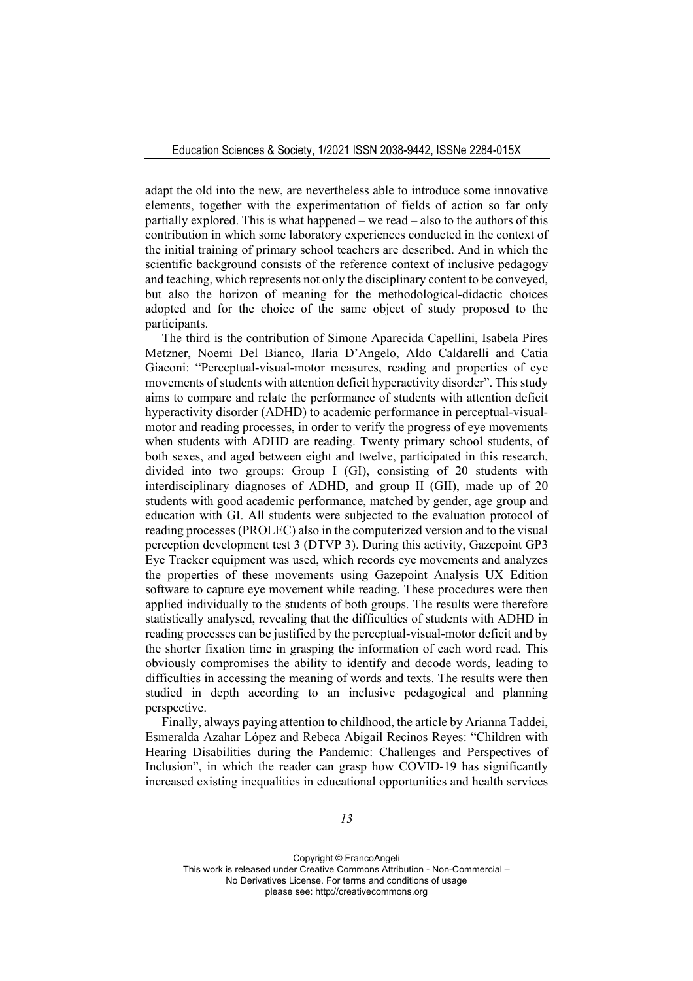adapt the old into the new, are nevertheless able to introduce some innovative elements, together with the experimentation of fields of action so far only partially explored. This is what happened – we read – also to the authors of this contribution in which some laboratory experiences conducted in the context of the initial training of primary school teachers are described. And in which the scientific background consists of the reference context of inclusive pedagogy and teaching, which represents not only the disciplinary content to be conveyed, but also the horizon of meaning for the methodological-didactic choices adopted and for the choice of the same object of study proposed to the participants.

The third is the contribution of Simone Aparecida Capellini, Isabela Pires Metzner, Noemi Del Bianco, Ilaria D'Angelo, Aldo Caldarelli and Catia Giaconi: "Perceptual-visual-motor measures, reading and properties of eye movements of students with attention deficit hyperactivity disorder". This study aims to compare and relate the performance of students with attention deficit hyperactivity disorder (ADHD) to academic performance in perceptual-visualmotor and reading processes, in order to verify the progress of eye movements when students with ADHD are reading. Twenty primary school students, of both sexes, and aged between eight and twelve, participated in this research, divided into two groups: Group I (GI), consisting of 20 students with interdisciplinary diagnoses of ADHD, and group II (GII), made up of 20 students with good academic performance, matched by gender, age group and education with GI. All students were subjected to the evaluation protocol of reading processes (PROLEC) also in the computerized version and to the visual perception development test 3 (DTVP 3). During this activity, Gazepoint GP3 Eye Tracker equipment was used, which records eye movements and analyzes the properties of these movements using Gazepoint Analysis UX Edition software to capture eye movement while reading. These procedures were then applied individually to the students of both groups. The results were therefore statistically analysed, revealing that the difficulties of students with ADHD in reading processes can be justified by the perceptual-visual-motor deficit and by the shorter fixation time in grasping the information of each word read. This obviously compromises the ability to identify and decode words, leading to difficulties in accessing the meaning of words and texts. The results were then studied in depth according to an inclusive pedagogical and planning perspective.

Finally, always paying attention to childhood, the article by Arianna Taddei, Esmeralda Azahar López and Rebeca Abigail Recinos Reyes: "Children with Hearing Disabilities during the Pandemic: Challenges and Perspectives of Inclusion", in which the reader can grasp how COVID-19 has significantly increased existing inequalities in educational opportunities and health services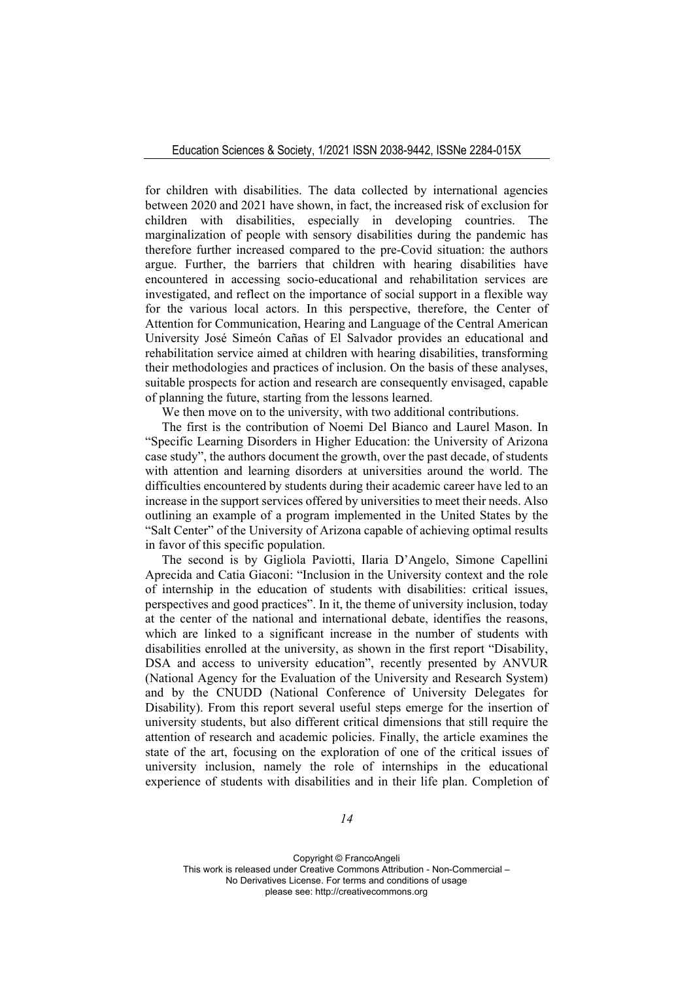for children with disabilities. The data collected by international agencies between 2020 and 2021 have shown, in fact, the increased risk of exclusion for children with disabilities, especially in developing countries. The marginalization of people with sensory disabilities during the pandemic has therefore further increased compared to the pre-Covid situation: the authors argue. Further, the barriers that children with hearing disabilities have encountered in accessing socio-educational and rehabilitation services are investigated, and reflect on the importance of social support in a flexible way for the various local actors. In this perspective, therefore, the Center of Attention for Communication, Hearing and Language of the Central American University José Simeón Cañas of El Salvador provides an educational and rehabilitation service aimed at children with hearing disabilities, transforming their methodologies and practices of inclusion. On the basis of these analyses, suitable prospects for action and research are consequently envisaged, capable of planning the future, starting from the lessons learned.

We then move on to the university, with two additional contributions.

The first is the contribution of Noemi Del Bianco and Laurel Mason. In "Specific Learning Disorders in Higher Education: the University of Arizona case study", the authors document the growth, over the past decade, of students with attention and learning disorders at universities around the world. The difficulties encountered by students during their academic career have led to an increase in the support services offered by universities to meet their needs. Also outlining an example of a program implemented in the United States by the "Salt Center" of the University of Arizona capable of achieving optimal results in favor of this specific population.

The second is by Gigliola Paviotti, Ilaria D'Angelo, Simone Capellini Aprecida and Catia Giaconi: "Inclusion in the University context and the role of internship in the education of students with disabilities: critical issues, perspectives and good practices". In it, the theme of university inclusion, today at the center of the national and international debate, identifies the reasons, which are linked to a significant increase in the number of students with disabilities enrolled at the university, as shown in the first report "Disability, DSA and access to university education", recently presented by ANVUR (National Agency for the Evaluation of the University and Research System) and by the CNUDD (National Conference of University Delegates for Disability). From this report several useful steps emerge for the insertion of university students, but also different critical dimensions that still require the attention of research and academic policies. Finally, the article examines the state of the art, focusing on the exploration of one of the critical issues of university inclusion, namely the role of internships in the educational experience of students with disabilities and in their life plan. Completion of